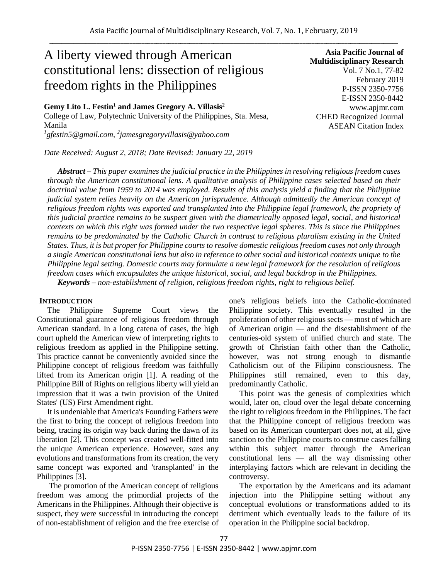# A liberty viewed through American constitutional lens: dissection of religious freedom rights in the Philippines

**Gemy Lito L. Festin<sup>1</sup> and James Gregory A. Villasis<sup>2</sup>** College of Law, Polytechnic University of the Philippines, Sta. Mesa, Manila *1 gfestin5@gmail.com, <sup>2</sup> jamesgregoryvillasis@yahoo.com*

*Date Received: August 2, 2018; Date Revised: January 22, 2019*

**Asia Pacific Journal of Multidisciplinary Research** Vol. 7 No.1, 77-82 February 2019 P-ISSN 2350-7756 E-ISSN 2350-8442 www.apjmr.com CHED Recognized Journal ASEAN Citation Index

*Abstract – This paper examines the judicial practice in the Philippines in resolving religious freedom cases through the American constitutional lens. A qualitative analysis of Philippine cases selected based on their doctrinal value from 1959 to 2014 was employed. Results of this analysis yield a finding that the Philippine judicial system relies heavily on the American jurisprudence. Although admittedly the American concept of religious freedom rights was exported and transplanted into the Philippine legal framework, the propriety of this judicial practice remains to be suspect given with the diametrically opposed legal, social, and historical contexts on which this right was formed under the two respective legal spheres. This is since the Philippines remains to be predominated by the Catholic Church in contrast to religious pluralism existing in the United States. Thus, it is but proper for Philippine courts to resolve domestic religious freedom cases not only through a single American constitutional lens but also in reference to other social and historical contexts unique to the Philippine legal setting. Domestic courts may formulate a new legal framework for the resolution of religious freedom cases which encapsulates the unique historical, social, and legal backdrop in the Philippines. Keywords – non-establishment of religion, religious freedom rights, right to religious belief.* 

## **INTRODUCTION**

The Philippine Supreme Court views the Constitutional guarantee of religious freedom through American standard. In a long catena of cases, the high court upheld the American view of interpreting rights to religious freedom as applied in the Philippine setting. This practice cannot be conveniently avoided since the Philippine concept of religious freedom was faithfully lifted from its American origin [1]. A reading of the Philippine Bill of Rights on religious liberty will yield an impression that it was a twin provision of the United States' (US) First Amendment right.

It is undeniable that America's Founding Fathers were the first to bring the concept of religious freedom into being, tracing its origin way back during the dawn of its liberation [2]. This concept was created well-fitted into the unique American experience. However, *sans* any evolutions and transformations from its creation, the very same concept was exported and 'transplanted' in the Philippines [3].

 The promotion of the American concept of religious freedom was among the primordial projects of the Americans in the Philippines. Although their objective is suspect, they were successful in introducing the concept of non-establishment of religion and the free exercise of one's religious beliefs into the Catholic-dominated Philippine society. This eventually resulted in the proliferation of other religious sects — most of which are of American origin — and the disestablishment of the centuries-old system of unified church and state. The growth of Christian faith other than the Catholic, however, was not strong enough to dismantle Catholicism out of the Filipino consciousness. The Philippines still remained, even to this day, predominantly Catholic.

This point was the genesis of complexities which would, later on, cloud over the legal debate concerning the right to religious freedom in the Philippines. The fact that the Philippine concept of religious freedom was based on its American counterpart does not, at all, give sanction to the Philippine courts to construe cases falling within this subject matter through the American constitutional lens — all the way dismissing other interplaying factors which are relevant in deciding the controversy.

The exportation by the Americans and its adamant injection into the Philippine setting without any conceptual evolutions or transformations added to its detriment which eventually leads to the failure of its operation in the Philippine social backdrop.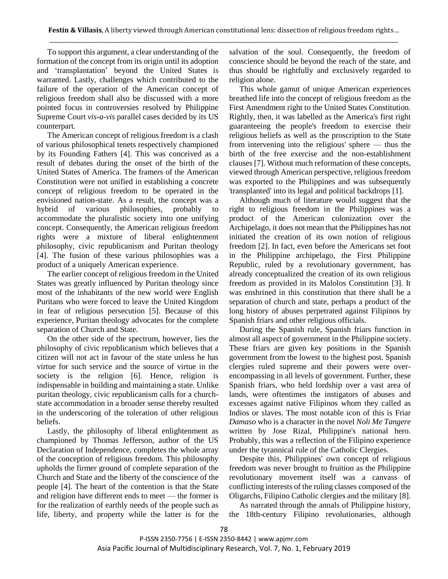To support this argument, a clear understanding of the formation of the concept from its origin until its adoption and 'transplantation' beyond the United States is warranted. Lastly, challenges which contributed to the failure of the operation of the American concept of religious freedom shall also be discussed with a more pointed focus in controversies resolved by Philippine Supreme Court *vis-a-vis* parallel cases decided by its US counterpart.

The American concept of religious freedom is a clash of various philosophical tenets respectively championed by its Founding Fathers [4]. This was conceived as a result of debates during the onset of the birth of the United States of America. The framers of the American Constitution were not unified in establishing a concrete concept of religious freedom to be operated in the envisioned nation-state. As a result, the concept was a hybrid of various philosophies, probably to accommodate the pluralistic society into one unifying concept. Consequently, the American religious freedom rights were a mixture of liberal enlightenment philosophy, civic republicanism and Puritan theology [4]. The fusion of these various philosophies was a product of a uniquely American experience.

The earlier concept of religious freedom in the United States was greatly influenced by Puritan theology since most of the inhabitants of the new world were English Puritans who were forced to leave the United Kingdom in fear of religious persecution [5]. Because of this experience, Puritan theology advocates for the complete separation of Church and State.

On the other side of the spectrum, however, lies the philosophy of civic republicanism which believes that a citizen will not act in favour of the state unless he has virtue for such service and the source of virtue in the society is the religion [6]. Hence, religion is indispensable in building and maintaining a state. Unlike puritan theology, civic republicanism calls for a churchstate accommodation in a broader sense thereby resulted in the underscoring of the toleration of other religious beliefs.

Lastly, the philosophy of liberal enlightenment as championed by Thomas Jefferson, author of the US Declaration of Independence, completes the whole array of the conception of religious freedom. This philosophy upholds the firmer ground of complete separation of the Church and State and the liberty of the conscience of the people [4]. The heart of the contention is that the State and religion have different ends to meet — the former is for the realization of earthly needs of the people such as life, liberty, and property while the latter is for the salvation of the soul. Consequently, the freedom of conscience should be beyond the reach of the state, and thus should be rightfully and exclusively regarded to religion alone.

This whole gamut of unique American experiences breathed life into the concept of religious freedom as the First Amendment right to the United States Constitution. Rightly, then, it was labelled as the America's first right guaranteeing the people's freedom to exercise their religious beliefs as well as the proscription to the State from intervening into the religious' sphere — thus the birth of the free exercise and the non-establishment clauses [7]. Without much reformation of these concepts, viewed through American perspective, religious freedom was exported to the Philippines and was subsequently 'transplanted' into its legal and political backdrops [1].

Although much of literature would suggest that the right to religious freedom in the Philippines was a product of the American colonization over the Archipelago, it does not mean that the Philippines has not initiated the creation of its own notion of religious freedom [2]. In fact, even before the Americans set foot in the Philippine archipelago, the First Philippine Republic, ruled by a revolutionary government, has already conceptualized the creation of its own religious freedom as provided in its Malolos Constitution [3]. It was enshrined in this constitution that there shall be a separation of church and state, perhaps a product of the long history of abuses perpetrated against Filipinos by Spanish friars and other religious officials.

During the Spanish rule, Spanish friars function in almost all aspect of government in the Philippine society. These friars are given key positions in the Spanish government from the lowest to the highest post. Spanish clergies ruled supreme and their powers were overencompassing in all levels of government. Further, these Spanish friars, who held lordship over a vast area of lands, were oftentimes the instigators of abuses and excesses against native Filipinos whom they called as Indios or slaves. The most notable icon of this is Friar *Damaso* who is a character in the novel *Noli Me Tangere*  written by Jose Rizal, Philippine's national hero. Probably, this was a reflection of the Filipino experience under the tyrannical rule of the Catholic Clergies.

Despite this, Philippines' own concept of religious freedom was never brought to fruition as the Philippine revolutionary movement itself was a canvass of conflicting interests of the ruling classes composed of the Oligarchs, Filipino Catholic clergies and the military [8].

As narrated through the annals of Philippine history, the 18th-century Filipino revolutionaries, although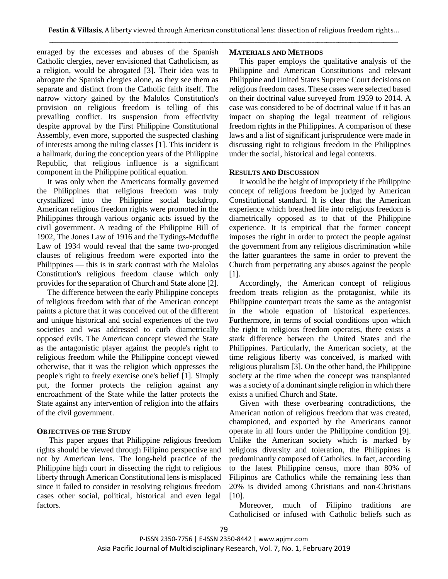enraged by the excesses and abuses of the Spanish Catholic clergies, never envisioned that Catholicism, as a religion, would be abrogated [3]. Their idea was to abrogate the Spanish clergies alone, as they see them as separate and distinct from the Catholic faith itself. The narrow victory gained by the Malolos Constitution's provision on religious freedom is telling of this prevailing conflict. Its suspension from effectivity despite approval by the First Philippine Constitutional Assembly, even more, supported the suspected clashing of interests among the ruling classes [1]. This incident is a hallmark, during the conception years of the Philippine Republic, that religious influence is a significant component in the Philippine political equation.

It was only when the Americans formally governed the Philippines that religious freedom was truly crystallized into the Philippine social backdrop. American religious freedom rights were promoted in the Philippines through various organic acts issued by the civil government. A reading of the Philippine Bill of 1902, The Jones Law of 1916 and the Tydings-Mcduffie Law of 1934 would reveal that the same two-pronged clauses of religious freedom were exported into the Philippines — this is in stark contrast with the Malolos Constitution's religious freedom clause which only provides for the separation of Church and State alone [2].

The difference between the early Philippine concepts of religious freedom with that of the American concept paints a picture that it was conceived out of the different and unique historical and social experiences of the two societies and was addressed to curb diametrically opposed evils. The American concept viewed the State as the antagonistic player against the people's right to religious freedom while the Philippine concept viewed otherwise, that it was the religion which oppresses the people's right to freely exercise one's belief [1]. Simply put, the former protects the religion against any encroachment of the State while the latter protects the State against any intervention of religion into the affairs of the civil government.

#### **OBJECTIVES OF THE STUDY**

 This paper argues that Philippine religious freedom rights should be viewed through Filipino perspective and not by American lens. The long-held practice of the Philippine high court in dissecting the right to religious liberty through American Constitutional lens is misplaced since it failed to consider in resolving religious freedom cases other social, political, historical and even legal factors.

## **MATERIALS AND METHODS**

This paper employs the qualitative analysis of the Philippine and American Constitutions and relevant Philippine and United States Supreme Court decisions on religious freedom cases. These cases were selected based on their doctrinal value surveyed from 1959 to 2014. A case was considered to be of doctrinal value if it has an impact on shaping the legal treatment of religious freedom rights in the Philippines. A comparison of these laws and a list of significant jurisprudence were made in discussing right to religious freedom in the Philippines under the social, historical and legal contexts.

## **RESULTS AND DISCUSSION**

It would be the height of impropriety if the Philippine concept of religious freedom be judged by American Constitutional standard. It is clear that the American experience which breathed life into religious freedom is diametrically opposed as to that of the Philippine experience. It is empirical that the former concept imposes the right in order to protect the people against the government from any religious discrimination while the latter guarantees the same in order to prevent the Church from perpetrating any abuses against the people [1].

Accordingly, the American concept of religious freedom treats religion as the protagonist, while its Philippine counterpart treats the same as the antagonist in the whole equation of historical experiences. Furthermore, in terms of social conditions upon which the right to religious freedom operates, there exists a stark difference between the United States and the Philippines. Particularly, the American society, at the time religious liberty was conceived, is marked with religious pluralism [3]. On the other hand, the Philippine society at the time when the concept was transplanted was a society of a dominant single religion in which there exists a unified Church and State.

Given with these overbearing contradictions, the American notion of religious freedom that was created, championed, and exported by the Americans cannot operate in all fours under the Philippine condition [9]. Unlike the American society which is marked by religious diversity and toleration, the Philippines is predominantly composed of Catholics. In fact, according to the latest Philippine census, more than 80% of Filipinos are Catholics while the remaining less than 20% is divided among Christians and non-Christians [10].

Moreover, much of Filipino traditions are Catholicised or infused with Catholic beliefs such as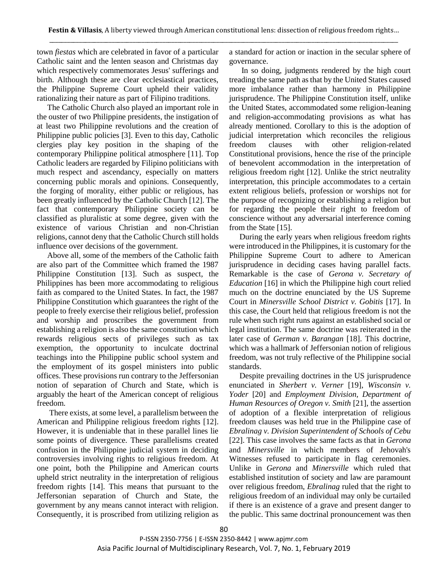town *fiestas* which are celebrated in favor of a particular Catholic saint and the lenten season and Christmas day which respectively commemorates Jesus' sufferings and birth. Although these are clear ecclesiastical practices, the Philippine Supreme Court upheld their validity rationalizing their nature as part of Filipino traditions.

The Catholic Church also played an important role in the ouster of two Philippine presidents, the instigation of at least two Philippine revolutions and the creation of Philippine public policies [3]. Even to this day, Catholic clergies play key position in the shaping of the contemporary Philippine political atmosphere [11]. Top Catholic leaders are regarded by Filipino politicians with much respect and ascendancy, especially on matters concerning public morals and opinions. Consequently, the forging of morality, either public or religious, has been greatly influenced by the Catholic Church [12]. The fact that contemporary Philippine society can be classified as pluralistic at some degree, given with the existence of various Christian and non-Christian religions, cannot deny that the Catholic Church still holds influence over decisions of the government.

Above all, some of the members of the Catholic faith are also part of the Committee which framed the 1987 Philippine Constitution [13]. Such as suspect, the Philippines has been more accommodating to religious faith as compared to the United States. In fact, the 1987 Philippine Constitution which guarantees the right of the people to freely exercise their religious belief, profession and worship and proscribes the government from establishing a religion is also the same constitution which rewards religious sects of privileges such as tax exemption, the opportunity to inculcate doctrinal teachings into the Philippine public school system and the employment of its gospel ministers into public offices. These provisions run contrary to the Jeffersonian notion of separation of Church and State, which is arguably the heart of the American concept of religious freedom.

There exists, at some level, a parallelism between the American and Philippine religious freedom rights [12]. However, it is undeniable that in these parallel lines lie some points of divergence. These parallelisms created confusion in the Philippine judicial system in deciding controversies involving rights to religious freedom. At one point, both the Philippine and American courts upheld strict neutrality in the interpretation of religious freedom rights [14]. This means that pursuant to the Jeffersonian separation of Church and State, the government by any means cannot interact with religion. Consequently, it is proscribed from utilizing religion as

a standard for action or inaction in the secular sphere of governance.

In so doing, judgments rendered by the high court treading the same path as that by the United States caused more imbalance rather than harmony in Philippine jurisprudence. The Philippine Constitution itself, unlike the United States, accommodated some religion-leaning and religion-accommodating provisions as what has already mentioned. Corollary to this is the adoption of judicial interpretation which reconciles the religious freedom clauses with other religion-related Constitutional provisions, hence the rise of the principle of benevolent accommodation in the interpretation of religious freedom right [12]. Unlike the strict neutrality interpretation, this principle accommodates to a certain extent religious beliefs, profession or worships not for the purpose of recognizing or establishing a religion but for regarding the people their right to freedom of conscience without any adversarial interference coming from the State [15].

During the early years when religious freedom rights were introduced in the Philippines, it is customary for the Philippine Supreme Court to adhere to American jurisprudence in deciding cases having parallel facts. Remarkable is the case of *Gerona v. Secretary of Education* [16] in which the Philippine high court relied much on the doctrine enunciated by the US Supreme Court in *Minersville School District v. Gobitis* [17]. In this case, the Court held that religious freedom is not the rule when such right runs against an established social or legal institution. The same doctrine was reiterated in the later case of *German v. Barangan* [18]. This doctrine, which was a hallmark of Jeffersonian notion of religious freedom, was not truly reflective of the Philippine social standards.

Despite prevailing doctrines in the US jurisprudence enunciated in *Sherbert v. Verner* [19], *Wisconsin v. Yoder* [20] and *Employment Division, Department of Human Resources of Oregon v. Smith* [21], the assertion of adoption of a flexible interpretation of religious freedom clauses was held true in the Philippine case of *Ebralinag v. Division Superintendent of Schools of Cebu* [22]. This case involves the same facts as that in *Gerona* and *Minersville* in which members of Jehovah's Witnesses refused to participate in flag ceremonies. Unlike in *Gerona* and *Minersville* which ruled that established institution of society and law are paramount over religious freedom, *Ebralinag* ruled that the right to religious freedom of an individual may only be curtailed if there is an existence of a grave and present danger to the public. This same doctrinal pronouncement was then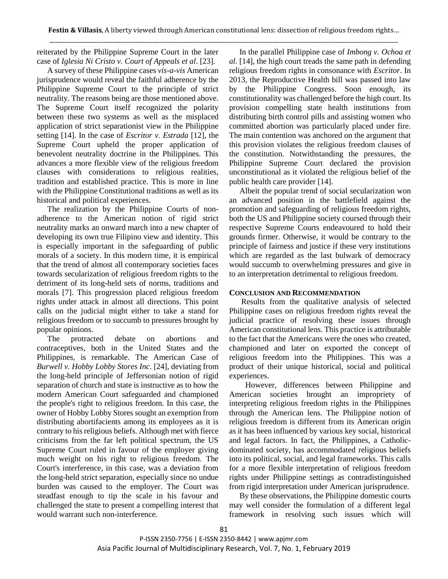reiterated by the Philippine Supreme Court in the later case of *Iglesia Ni Cristo v. Court of Appeals et al*. [23].

A survey of these Philippine cases *vis-a-vis* American jurisprudence would reveal the faithful adherence by the Philippine Supreme Court to the principle of strict neutrality. The reasons being are those mentioned above. The Supreme Court itself recognized the polarity between these two systems as well as the misplaced application of strict separationist view in the Philippine setting [14]. In the case of *Escritor v. Estrada* [12], the Supreme Court upheld the proper application of benevolent neutrality doctrine in the Philippines. This advances a more flexible view of the religious freedom clauses with considerations to religious realities, tradition and established practice. This is more in line with the Philippine Constitutional traditions as well as its historical and political experiences.

The realization by the Philippine Courts of nonadherence to the American notion of rigid strict neutrality marks an onward march into a new chapter of developing its own true Filipino view and identity. This is especially important in the safeguarding of public morals of a society. In this modern time, it is empirical that the trend of almost all contemporary societies faces towards secularization of religious freedom rights to the detriment of its long-held sets of norms, traditions and morals [7]. This progression placed religious freedom rights under attack in almost all directions. This point calls on the judicial might either to take a stand for religious freedom or to succumb to pressures brought by popular opinions.

The protracted debate on abortions and contraceptives, both in the United States and the Philippines, is remarkable. The American Case of *Burwell v. Hobby Lobby Stores Inc*. [24], deviating from the long-held principle of Jeffersonian notion of rigid separation of church and state is instructive as to how the modern American Court safeguarded and championed the people's right to religious freedom. In this case, the owner of Hobby Lobby Stores sought an exemption from distributing abortifacients among its employees as it is contrary to his religious beliefs. Although met with fierce criticisms from the far left political spectrum, the US Supreme Court ruled in favour of the employer giving much weight on his right to religious freedom. The Court's interference, in this case, was a deviation from the long-held strict separation, especially since no undue burden was caused to the employer. The Court was steadfast enough to tip the scale in his favour and challenged the state to present a compelling interest that would warrant such non-interference.

In the parallel Philippine case of *Imbong v. Ochoa et al.* [14], the high court treads the same path in defending religious freedom rights in consonance with *Escritor*. In 2013, the Reproductive Health bill was passed into law by the Philippine Congress. Soon enough, its constitutionality was challenged before the high court. Its provision compelling state health institutions from distributing birth control pills and assisting women who committed abortion was particularly placed under fire. The main contention was anchored on the argument that this provision violates the religious freedom clauses of the constitution. Notwithstanding the pressures, the Philippine Supreme Court declared the provision unconstitutional as it violated the religious belief of the public health care provider [14].

Albeit the popular trend of social secularization won an advanced position in the battlefield against the promotion and safeguarding of religious freedom rights, both the US and Philippine society coursed through their respective Supreme Courts endeavoured to hold their grounds firmer. Otherwise, it would be contrary to the principle of fairness and justice if these very institutions which are regarded as the last bulwark of democracy would succumb to overwhelming pressures and give in to an interpretation detrimental to religious freedom.

## **CONCLUSION AND RECOMMENDATION**

 Results from the qualitative analysis of selected Philippine cases on religious freedom rights reveal the judicial practice of resolving these issues through American constitutional lens. This practice is attributable to the fact that the Americans were the ones who created, championed and later on exported the concept of religious freedom into the Philippines. This was a product of their unique historical, social and political experiences.

 However, differences between Philippine and American societies brought an impropriety of interpreting religious freedom rights in the Philippines through the American lens. The Philippine notion of religious freedom is different from its American origin as it has been influenced by various key social, historical and legal factors. In fact, the Philippines, a Catholicdominated society, has accommodated religious beliefs into its political, social, and legal frameworks. This calls for a more flexible interpretation of religious freedom rights under Philippine settings as contradistinguished from rigid interpretation under American jurisprudence.

By these observations, the Philippine domestic courts may well consider the formulation of a different legal framework in resolving such issues which will